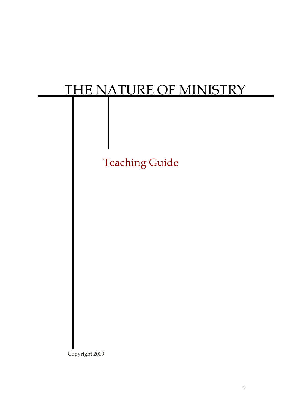# THE NATURE OF MINISTRY



Copyright 2009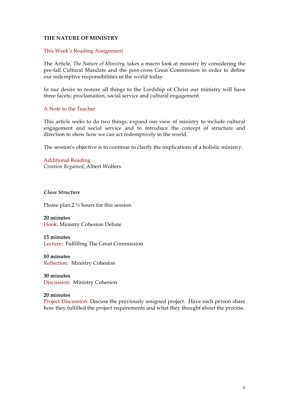# **THE NATURE OF MINISTRY**

#### This Week's Reading Assignment

The Article, *The Nature of Ministry,* takes a macro look at ministry by considering the pre-fall Cultural Mandate and the post-cross Great Commission in order to define our redemptive responsibilities in the world today.

In our desire to restore all things to the Lordship of Christ our ministry will have three facets; proclamation, social service and cultural engagement.

## A Note to the Teacher

This article seeks to do two things; expand our view of ministry to include cultural engagement and social service and to introduce the concept of structure and direction to show how we can act redemptively in the world.

The session's objective is to continue to clarify the implications of a holistic ministry.

Additional Reading *Creation Regained*, Albert Wolters

*Class Structure*

Please plan 2 ½ hours for this session.

**20 minutes** Hook: Ministry Cohesion Debate

**15 minutes** Lecture: Fulfilling The Great Commission

**10 minutes** Reflection: Ministry Cohesion

**30 minutes** Discussion: Ministry Cohesion

#### **20 minutes**

Project Discussion: Discuss the previously assigned project. Have each person share how they fulfilled the project requirements and what they thought about the process.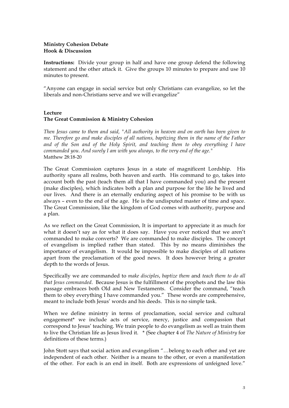# **Ministry Cohesion Debate Hook & Discussion**

**Instructions:** Divide your group in half and have one group defend the following statement and the other attack it. Give the groups 10 minutes to prepare and use 10 minutes to present.

"Anyone can engage in social service but only Christians can evangelize, so let the liberals and non-Christians serve and we will evangelize"

# **Lecture The Great Commission & Ministry Cohesion**

*Then Jesus came to them and said, "All authority in heaven and on earth has been given to me. Therefore go and make disciples of all nations, baptizing them in the name of the Father and of the Son and of the Holy Spirit, and teaching them to obey everything I have commanded you. And surely I am with you always, to the very end of the age."* Matthew 28:18-20

The Great Commission captures Jesus in a state of magnificent Lordship. His authority spans all realms, both heaven and earth. His command to go, takes into account both the past (teach them all that I have commanded you) and the present (make disciples), which indicates both a plan and purpose for the life he lived and our lives. And there is an eternally enduring aspect of his promise to be with us always – even to the end of the age. He is the undisputed master of time and space. The Great Commission, like the kingdom of God comes with authority, purpose and a plan.

As we reflect on the Great Commission, It is important to appreciate it as much for what it doesn't say as for what it does say. Have you ever noticed that we aren't commanded to make converts? We are commanded to make disciples. The concept of evangelism is implied rather than stated. This by no means diminishes the importance of evangelism. It would be impossible to make disciples of all nations apart from the proclamation of the good news. It does however bring a greater depth to the words of Jesus.

Specifically we are commanded to *make disciples*, *baptize them* and *teach them to do all that Jesus commanded*. Because Jesus is the fulfillment of the prophets and the law this passage embraces both Old and New Testaments. Consider the command, "teach them to obey everything I have commanded you." These words are comprehensive, meant to include both Jesus' words and his deeds. This is no simple task.

When we define ministry in terms of proclamation, social service and cultural engagement\* we include acts of service, mercy, justice and compassion that correspond to Jesus' teaching. We train people to do evangelism as well as train them to live the Christian life as Jesus lived it. \* (See chapter 4 of *The Nature of Ministry* for definitions of these terms.)

John Stott says that social action and evangelism "…belong to each other and yet are independent of each other. Neither is a means to the other, or even a manifestation of the other. For each is an end in itself. Both are expressions of unfeigned love."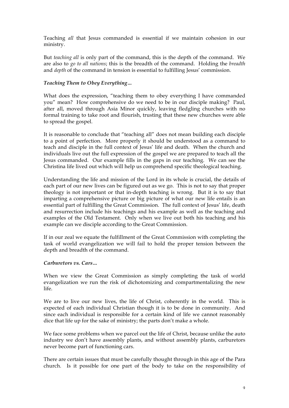Teaching *all* that Jesus commanded is essential if we maintain cohesion in our ministry.

But *teaching all* is only part of the command, this is the depth of the command. We are also to *go to all nations*; this is the breadth of the command. Holding the *breadth* and *depth* of the command in tension is essential to fulfilling Jesus' commission.

# *Teaching Them to Obey Everything…*

What does the expression, "teaching them to obey everything I have commanded you" mean? How comprehensive do we need to be in our disciple making? Paul, after all, moved through Asia Minor quickly, leaving fledgling churches with no formal training to take root and flourish, trusting that these new churches were able to spread the gospel.

It is reasonable to conclude that "teaching all" does not mean building each disciple to a point of perfection. More properly it should be understood as a command to teach and disciple in the full context of Jesus' life and death. When the church and individuals live out the full expression of the gospel we are prepared to teach all the Jesus commanded. Our example fills in the gaps in our teaching. We can see the Christina life lived out which will help us comprehend specific theological teaching.

Understanding the life and mission of the Lord in its whole is crucial, the details of each part of our new lives can be figured out as we go. This is not to say that proper theology is not important or that in-depth teaching is wrong. But it is to say that imparting a comprehensive picture or big picture of what our new life entails is an essential part of fulfilling the Great Commission. The full context of Jesus' life, death and resurrection include his teachings and his example as well as the teaching and examples of the Old Testament. Only when we live out both his teaching and his example can we disciple according to the Great Commission.

If in our zeal we equate the fulfillment of the Great Commission with completing the task of world evangelization we will fail to hold the proper tension between the depth and breadth of the command.

## *Carburetors vs. Cars…*

When we view the Great Commission as simply completing the task of world evangelization we run the risk of dichotomizing and compartmentalizing the new life.

We are to live our new lives, the life of Christ, coherently in the world. This is expected of each individual Christian though it is to be done in community. And since each individual is responsible for a certain kind of life we cannot reasonably dice that life up for the sake of ministry; the parts don't make a whole.

We face some problems when we parcel out the life of Christ, because unlike the auto industry we don't have assembly plants, and without assembly plants, carburetors never become part of functioning cars.

There are certain issues that must be carefully thought through in this age of the Para church. Is it possible for one part of the body to take on the responsibility of